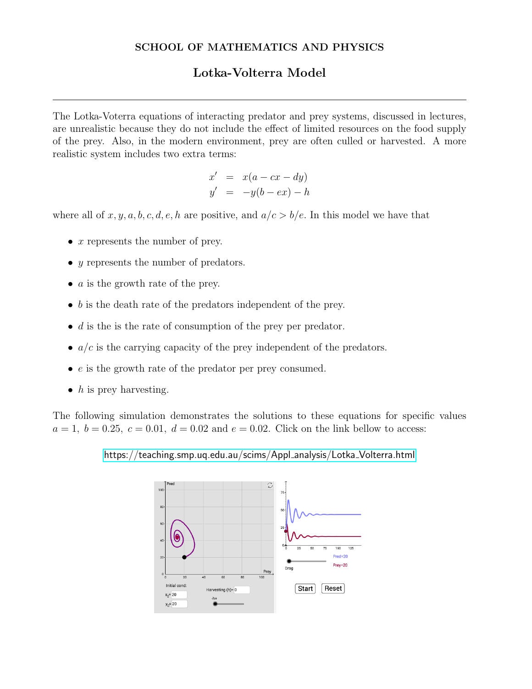## SCHOOL OF MATHEMATICS AND PHYSICS

# Lotka-Volterra Model

The Lotka-Voterra equations of interacting predator and prey systems, discussed in lectures, are unrealistic because they do not include the effect of limited resources on the food supply of the prey. Also, in the modern environment, prey are often culled or harvested. A more realistic system includes two extra terms:

$$
x' = x(a - cx - dy)
$$
  

$$
y' = -y(b - ex) - h
$$

where all of x, y, a, b, c, d, e, h are positive, and  $a/c > b/e$ . In this model we have that

- $x$  represents the number of prey.
- y represents the number of predators.
- $\alpha$  is the growth rate of the prey.
- b is the death rate of the predators independent of the prey.
- $\bullet$  d is the is the rate of consumption of the prey per predator.
- $a/c$  is the carrying capacity of the prey independent of the predators.
- $\bullet$  e is the growth rate of the predator per prey consumed.
- $h$  is prey harvesting.

The following simulation demonstrates the solutions to these equations for specific values  $a = 1, b = 0.25, c = 0.01, d = 0.02$  and  $e = 0.02$ . Click on the link bellow to access:

[https://teaching.smp.uq.edu.au/scims/Appl](https://teaching.smp.uq.edu.au/scims/Appl_analysis/Lotka_Volterra.html) analysis/Lotka Volterra.html

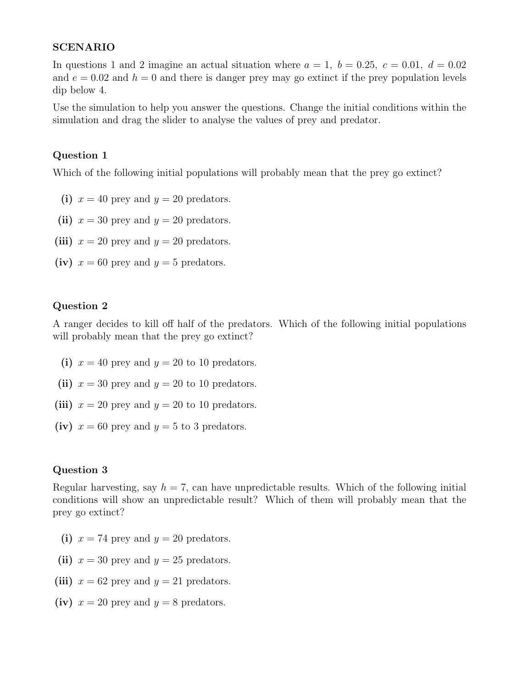#### SCENARIO

In questions 1 and 2 imagine an actual situation where  $a = 1, b = 0.25, c = 0.01, d = 0.02$ and  $e = 0.02$  and  $h = 0$  and there is danger prey may go extinct if the prey population levels dip below 4.

Use the simulation to help you answer the questions. Change the initial conditions within the simulation and drag the slider to analyse the values of prey and predator.

## Question 1

Which of the following initial populations will probably mean that the prey go extinct?

- (i)  $x = 40$  prey and  $y = 20$  predators.
- (ii)  $x = 30$  prey and  $y = 20$  predators.
- (iii)  $x = 20$  prey and  $y = 20$  predators.
- (iv)  $x = 60$  prey and  $y = 5$  predators.

#### Question 2

A ranger decides to kill off half of the predators. Which of the following initial populations will probably mean that the prey go extinct?

- (i)  $x = 40$  prey and  $y = 20$  to 10 predators.
- (ii)  $x = 30$  prey and  $y = 20$  to 10 predators.
- (iii)  $x = 20$  prey and  $y = 20$  to 10 predators.
- (iv)  $x = 60$  prey and  $y = 5$  to 3 predators.

#### Question 3

Regular harvesting, say  $h = 7$ , can have unpredictable results. Which of the following initial conditions will show an unpredictable result? Which of them will probably mean that the prey go extinct?

- (i)  $x = 74$  prey and  $y = 20$  predators.
- (ii)  $x = 30$  prey and  $y = 25$  predators.
- (iii)  $x = 62$  prey and  $y = 21$  predators.
- (iv)  $x = 20$  prey and  $y = 8$  predators.